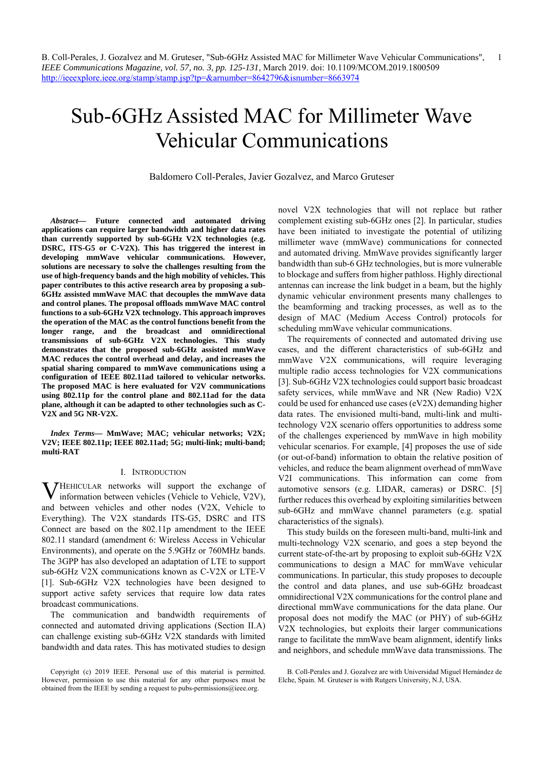# Sub-6GHz Assisted MAC for Millimeter Wave Vehicular Communications

Baldomero Coll-Perales, Javier Gozalvez, and Marco Gruteser

*Abstract***— Future connected and automated driving applications can require larger bandwidth and higher data rates than currently supported by sub-6GHz V2X technologies (e.g. DSRC, ITS-G5 or C-V2X). This has triggered the interest in developing mmWave vehicular communications. However, solutions are necessary to solve the challenges resulting from the use of high-frequency bands and the high mobility of vehicles. This paper contributes to this active research area by proposing a sub-6GHz assisted mmWave MAC that decouples the mmWave data and control planes. The proposal offloads mmWave MAC control functions to a sub-6GHz V2X technology. This approach improves the operation of the MAC as the control functions benefit from the longer range, and the broadcast and omnidirectional transmissions of sub-6GHz V2X technologies. This study demonstrates that the proposed sub-6GHz assisted mmWave MAC reduces the control overhead and delay, and increases the spatial sharing compared to mmWave communications using a configuration of IEEE 802.11ad tailored to vehicular networks. The proposed MAC is here evaluated for V2V communications using 802.11p for the control plane and 802.11ad for the data plane, although it can be adapted to other technologies such as C-V2X and 5G NR-V2X.** 

*Index Terms***— MmWave; MAC; vehicular networks; V2X; V2V; IEEE 802.11p; IEEE 802.11ad; 5G; multi-link; multi-band; multi-RAT** 

#### I. INTRODUCTION

**V**HEHICULAR networks will support the exchange of information between vehicles (Vehicle to Vehicle, V2V), information between vehicles (Vehicle to Vehicle, V2V), and between vehicles and other nodes (V2X, Vehicle to Everything). The V2X standards ITS-G5, DSRC and ITS Connect are based on the 802.11p amendment to the IEEE 802.11 standard (amendment 6: Wireless Access in Vehicular Environments), and operate on the 5.9GHz or 760MHz bands. The 3GPP has also developed an adaptation of LTE to support sub-6GHz V2X communications known as C-V2X or LTE-V [1]. Sub-6GHz V2X technologies have been designed to support active safety services that require low data rates broadcast communications.

The communication and bandwidth requirements of connected and automated driving applications (Section II.A) can challenge existing sub-6GHz V2X standards with limited bandwidth and data rates. This has motivated studies to design

novel V2X technologies that will not replace but rather complement existing sub-6GHz ones [2]. In particular, studies have been initiated to investigate the potential of utilizing millimeter wave (mmWave) communications for connected and automated driving. MmWave provides significantly larger bandwidth than sub-6 GHz technologies, but is more vulnerable to blockage and suffers from higher pathloss. Highly directional antennas can increase the link budget in a beam, but the highly dynamic vehicular environment presents many challenges to the beamforming and tracking processes, as well as to the design of MAC (Medium Access Control) protocols for scheduling mmWave vehicular communications.

The requirements of connected and automated driving use cases, and the different characteristics of sub-6GHz and mmWave V2X communications, will require leveraging multiple radio access technologies for V2X communications [3]. Sub-6GHz V2X technologies could support basic broadcast safety services, while mmWave and NR (New Radio) V2X could be used for enhanced use cases (eV2X) demanding higher data rates. The envisioned multi-band, multi-link and multitechnology V2X scenario offers opportunities to address some of the challenges experienced by mmWave in high mobility vehicular scenarios. For example, [4] proposes the use of side (or out-of-band) information to obtain the relative position of vehicles, and reduce the beam alignment overhead of mmWave V2I communications. This information can come from automotive sensors (e.g. LIDAR, cameras) or DSRC. [5] further reduces this overhead by exploiting similarities between sub-6GHz and mmWave channel parameters (e.g. spatial characteristics of the signals).

This study builds on the foreseen multi-band, multi-link and multi-technology V2X scenario, and goes a step beyond the current state-of-the-art by proposing to exploit sub-6GHz V2X communications to design a MAC for mmWave vehicular communications. In particular, this study proposes to decouple the control and data planes, and use sub-6GHz broadcast omnidirectional V2X communications for the control plane and directional mmWave communications for the data plane. Our proposal does not modify the MAC (or PHY) of sub-6GHz V2X technologies, but exploits their larger communications range to facilitate the mmWave beam alignment, identify links and neighbors, and schedule mmWave data transmissions. The

Copyright (c) 2019 IEEE. Personal use of this material is permitted. However, permission to use this material for any other purposes must be obtained from the IEEE by sending a request to pubs-permissions@ieee.org.

B. Coll-Perales and J. Gozalvez are with Universidad Miguel Hernández de Elche, Spain. M. Gruteser is with Rutgers University, N.J, USA.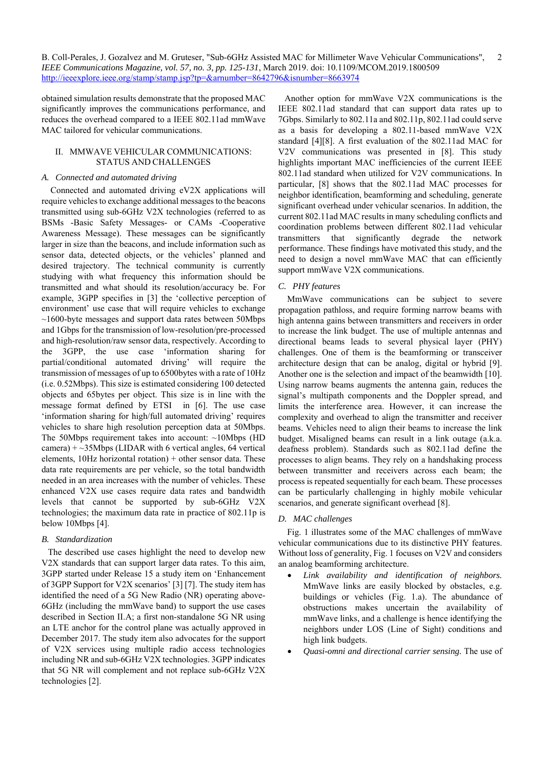obtained simulation results demonstrate that the proposed MAC significantly improves the communications performance, and reduces the overhead compared to a IEEE 802.11ad mmWave MAC tailored for vehicular communications.

## II. MMWAVE VEHICULAR COMMUNICATIONS: STATUS AND CHALLENGES

# *A. Connected and automated driving*

Connected and automated driving eV2X applications will require vehicles to exchange additional messages to the beacons transmitted using sub-6GHz V2X technologies (referred to as BSMs -Basic Safety Messages- or CAMs -Cooperative Awareness Message). These messages can be significantly larger in size than the beacons, and include information such as sensor data, detected objects, or the vehicles' planned and desired trajectory. The technical community is currently studying with what frequency this information should be transmitted and what should its resolution/accuracy be. For example, 3GPP specifies in [3] the 'collective perception of environment' use case that will require vehicles to exchange ~1600-byte messages and support data rates between 50Mbps and 1Gbps for the transmission of low-resolution/pre-processed and high-resolution/raw sensor data, respectively. According to the 3GPP, the use case 'information sharing for partial/conditional automated driving' will require the transmission of messages of up to 6500bytes with a rate of 10Hz (i.e. 0.52Mbps). This size is estimated considering 100 detected objects and 65bytes per object. This size is in line with the message format defined by ETSI in [6]. The use case 'information sharing for high/full automated driving' requires vehicles to share high resolution perception data at 50Mbps. The 50Mbps requirement takes into account: ~10Mbps (HD) camera)  $+$   $\sim$ 35Mbps (LIDAR with 6 vertical angles, 64 vertical elements, 10Hz horizontal rotation) + other sensor data. These data rate requirements are per vehicle, so the total bandwidth needed in an area increases with the number of vehicles. These enhanced V2X use cases require data rates and bandwidth levels that cannot be supported by sub-6GHz V2X technologies; the maximum data rate in practice of 802.11p is below 10Mbps [4].

## *B. Standardization*

The described use cases highlight the need to develop new V2X standards that can support larger data rates. To this aim, 3GPP started under Release 15 a study item on 'Enhancement of 3GPP Support for V2X scenarios' [3] [7]. The study item has identified the need of a 5G New Radio (NR) operating above-6GHz (including the mmWave band) to support the use cases described in Section II.A; a first non-standalone 5G NR using an LTE anchor for the control plane was actually approved in December 2017. The study item also advocates for the support of V2X services using multiple radio access technologies including NR and sub-6GHz V2X technologies. 3GPP indicates that 5G NR will complement and not replace sub-6GHz V2X technologies [2].

Another option for mmWave V2X communications is the IEEE 802.11ad standard that can support data rates up to 7Gbps. Similarly to 802.11a and 802.11p, 802.11ad could serve as a basis for developing a 802.11-based mmWave V2X standard [4][8]. A first evaluation of the 802.11ad MAC for V2V communications was presented in [8]. This study highlights important MAC inefficiencies of the current IEEE 802.11ad standard when utilized for V2V communications. In particular, [8] shows that the 802.11ad MAC processes for neighbor identification, beamforming and scheduling, generate significant overhead under vehicular scenarios. In addition, the current 802.11ad MAC results in many scheduling conflicts and coordination problems between different 802.11ad vehicular transmitters that significantly degrade the network performance. These findings have motivated this study, and the need to design a novel mmWave MAC that can efficiently support mmWave V2X communications.

# *C. PHY features*

MmWave communications can be subject to severe propagation pathloss, and require forming narrow beams with high antenna gains between transmitters and receivers in order to increase the link budget. The use of multiple antennas and directional beams leads to several physical layer (PHY) challenges. One of them is the beamforming or transceiver architecture design that can be analog, digital or hybrid [9]. Another one is the selection and impact of the beamwidth [10]. Using narrow beams augments the antenna gain, reduces the signal's multipath components and the Doppler spread, and limits the interference area. However, it can increase the complexity and overhead to align the transmitter and receiver beams. Vehicles need to align their beams to increase the link budget. Misaligned beams can result in a link outage (a.k.a. deafness problem). Standards such as 802.11ad define the processes to align beams. They rely on a handshaking process between transmitter and receivers across each beam; the process is repeated sequentially for each beam. These processes can be particularly challenging in highly mobile vehicular scenarios, and generate significant overhead [8].

# *D. MAC challenges*

Fig. 1 illustrates some of the MAC challenges of mmWave vehicular communications due to its distinctive PHY features. Without loss of generality, Fig. 1 focuses on V2V and considers an analog beamforming architecture.

- *Link availability and identification of neighbors.* MmWave links are easily blocked by obstacles, e.g. buildings or vehicles (Fig. 1.a). The abundance of obstructions makes uncertain the availability of mmWave links, and a challenge is hence identifying the neighbors under LOS (Line of Sight) conditions and high link budgets.
- *Quasi-omni and directional carrier sensing.* The use of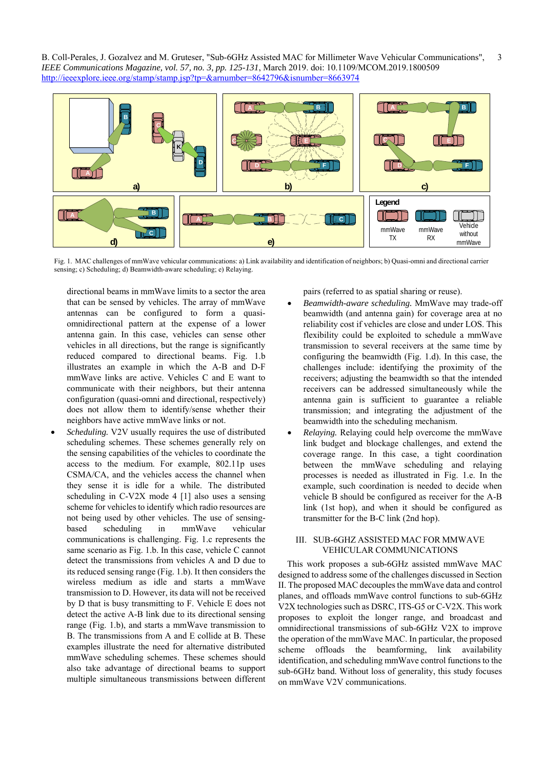

Fig. 1. MAC challenges of mmWave vehicular communications: a) Link availability and identification of neighbors; b) Quasi-omni and directional carrier sensing; c) Scheduling; d) Beamwidth-aware scheduling; e) Relaying.

directional beams in mmWave limits to a sector the area that can be sensed by vehicles. The array of mmWave antennas can be configured to form a quasiomnidirectional pattern at the expense of a lower antenna gain. In this case, vehicles can sense other vehicles in all directions, but the range is significantly reduced compared to directional beams. Fig. 1.b illustrates an example in which the A-B and D-F mmWave links are active. Vehicles C and E want to communicate with their neighbors, but their antenna configuration (quasi-omni and directional, respectively) does not allow them to identify/sense whether their neighbors have active mmWave links or not.

 *Scheduling.* V2V usually requires the use of distributed scheduling schemes. These schemes generally rely on the sensing capabilities of the vehicles to coordinate the access to the medium. For example, 802.11p uses CSMA/CA, and the vehicles access the channel when they sense it is idle for a while. The distributed scheduling in C-V2X mode 4 [1] also uses a sensing scheme for vehicles to identify which radio resources are not being used by other vehicles. The use of sensingbased scheduling in mmWave vehicular communications is challenging. Fig. 1.c represents the same scenario as Fig. 1.b. In this case, vehicle C cannot detect the transmissions from vehicles A and D due to its reduced sensing range (Fig. 1.b). It then considers the wireless medium as idle and starts a mmWave transmission to D. However, its data will not be received by D that is busy transmitting to F. Vehicle E does not detect the active A-B link due to its directional sensing range (Fig. 1.b), and starts a mmWave transmission to B. The transmissions from A and E collide at B. These examples illustrate the need for alternative distributed mmWave scheduling schemes. These schemes should also take advantage of directional beams to support multiple simultaneous transmissions between different

pairs (referred to as spatial sharing or reuse).

- *Beamwidth-aware scheduling.* MmWave may trade-off beamwidth (and antenna gain) for coverage area at no reliability cost if vehicles are close and under LOS. This flexibility could be exploited to schedule a mmWave transmission to several receivers at the same time by configuring the beamwidth (Fig. 1.d). In this case, the challenges include: identifying the proximity of the receivers; adjusting the beamwidth so that the intended receivers can be addressed simultaneously while the antenna gain is sufficient to guarantee a reliable transmission; and integrating the adjustment of the beamwidth into the scheduling mechanism.
- *Relaying.* Relaying could help overcome the mmWave link budget and blockage challenges, and extend the coverage range. In this case, a tight coordination between the mmWave scheduling and relaying processes is needed as illustrated in Fig. 1.e. In the example, such coordination is needed to decide when vehicle B should be configured as receiver for the A-B link (1st hop), and when it should be configured as transmitter for the B-C link (2nd hop).

#### III. SUB-6GHZ ASSISTED MAC FOR MMWAVE VEHICULAR COMMUNICATIONS

This work proposes a sub-6GHz assisted mmWave MAC designed to address some of the challenges discussed in Section II. The proposed MAC decouples the mmWave data and control planes, and offloads mmWave control functions to sub-6GHz V2X technologies such as DSRC, ITS-G5 or C-V2X. This work proposes to exploit the longer range, and broadcast and omnidirectional transmissions of sub-6GHz V2X to improve the operation of the mmWave MAC. In particular, the proposed scheme offloads the beamforming, link availability identification, and scheduling mmWave control functions to the sub-6GHz band. Without loss of generality, this study focuses on mmWave V2V communications.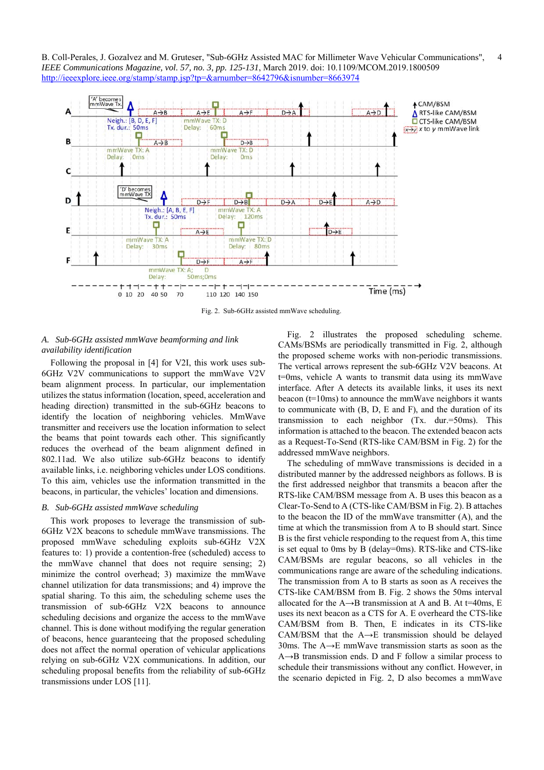

Fig. 2. Sub-6GHz assisted mmWave scheduling.

# *A. Sub-6GHz assisted mmWave beamforming and link availability identification*

Following the proposal in [4] for V2I, this work uses sub-6GHz V2V communications to support the mmWave V2V beam alignment process. In particular, our implementation utilizes the status information (location, speed, acceleration and heading direction) transmitted in the sub-6GHz beacons to identify the location of neighboring vehicles. MmWave transmitter and receivers use the location information to select the beams that point towards each other. This significantly reduces the overhead of the beam alignment defined in 802.11ad. We also utilize sub-6GHz beacons to identify available links, i.e. neighboring vehicles under LOS conditions. To this aim, vehicles use the information transmitted in the beacons, in particular, the vehicles' location and dimensions.

## *B. Sub-6GHz assisted mmWave scheduling*

This work proposes to leverage the transmission of sub-6GHz V2X beacons to schedule mmWave transmissions. The proposed mmWave scheduling exploits sub-6GHz V2X features to: 1) provide a contention-free (scheduled) access to the mmWave channel that does not require sensing; 2) minimize the control overhead; 3) maximize the mmWave channel utilization for data transmissions; and 4) improve the spatial sharing. To this aim, the scheduling scheme uses the transmission of sub-6GHz V2X beacons to announce scheduling decisions and organize the access to the mmWave channel. This is done without modifying the regular generation of beacons, hence guaranteeing that the proposed scheduling does not affect the normal operation of vehicular applications relying on sub-6GHz V2X communications. In addition, our scheduling proposal benefits from the reliability of sub-6GHz transmissions under LOS [11].

Fig. 2 illustrates the proposed scheduling scheme. CAMs/BSMs are periodically transmitted in Fig. 2, although the proposed scheme works with non-periodic transmissions. The vertical arrows represent the sub-6GHz V2V beacons. At t=0ms, vehicle A wants to transmit data using its mmWave interface. After A detects its available links, it uses its next beacon ( $t=10$ ms) to announce the mmWave neighbors it wants to communicate with (B, D, E and F), and the duration of its transmission to each neighbor (Tx. dur.=50ms). This information is attached to the beacon. The extended beacon acts as a Request-To-Send (RTS-like CAM/BSM in Fig. 2) for the addressed mmWave neighbors.

The scheduling of mmWave transmissions is decided in a distributed manner by the addressed neighbors as follows. B is the first addressed neighbor that transmits a beacon after the RTS-like CAM/BSM message from A. B uses this beacon as a Clear-To-Send to A (CTS-like CAM/BSM in Fig. 2). B attaches to the beacon the ID of the mmWave transmitter (A), and the time at which the transmission from A to B should start. Since B is the first vehicle responding to the request from A, this time is set equal to 0ms by B (delay=0ms). RTS-like and CTS-like CAM/BSMs are regular beacons, so all vehicles in the communications range are aware of the scheduling indications. The transmission from A to B starts as soon as A receives the CTS-like CAM/BSM from B. Fig. 2 shows the 50ms interval allocated for the  $A \rightarrow B$  transmission at A and B. At t=40ms, E uses its next beacon as a CTS for A. E overheard the CTS-like CAM/BSM from B. Then, E indicates in its CTS-like CAM/BSM that the A→E transmission should be delayed 30ms. The A→E mmWave transmission starts as soon as the  $A \rightarrow B$  transmission ends. D and F follow a similar process to schedule their transmissions without any conflict. However, in the scenario depicted in Fig. 2, D also becomes a mmWave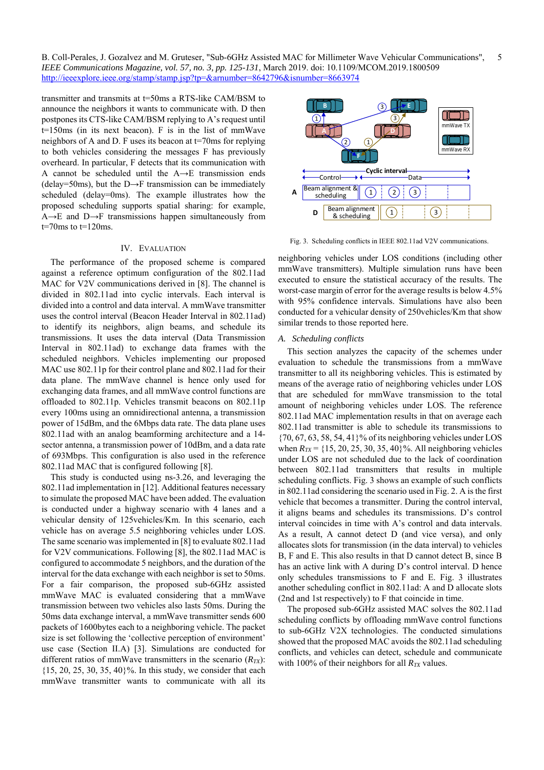transmitter and transmits at t=50ms a RTS-like CAM/BSM to announce the neighbors it wants to communicate with. D then postpones its CTS-like CAM/BSM replying to A's request until t=150ms (in its next beacon). F is in the list of mmWave neighbors of A and D. F uses its beacon at t=70ms for replying to both vehicles considering the messages F has previously overheard. In particular, F detects that its communication with A cannot be scheduled until the A→E transmission ends (delay=50ms), but the D $\rightarrow$ F transmission can be immediately scheduled (delay=0ms). The example illustrates how the proposed scheduling supports spatial sharing: for example, A→E and D→F transmissions happen simultaneously from  $t=70$ ms to  $t=120$ ms.

#### IV. EVALUATION

The performance of the proposed scheme is compared against a reference optimum configuration of the 802.11ad MAC for V2V communications derived in [8]. The channel is divided in 802.11ad into cyclic intervals. Each interval is divided into a control and data interval. A mmWave transmitter uses the control interval (Beacon Header Interval in 802.11ad) to identify its neighbors, align beams, and schedule its transmissions. It uses the data interval (Data Transmission Interval in 802.11ad) to exchange data frames with the scheduled neighbors. Vehicles implementing our proposed MAC use 802.11p for their control plane and 802.11ad for their data plane. The mmWave channel is hence only used for exchanging data frames, and all mmWave control functions are offloaded to 802.11p. Vehicles transmit beacons on 802.11p every 100ms using an omnidirectional antenna, a transmission power of 15dBm, and the 6Mbps data rate. The data plane uses 802.11ad with an analog beamforming architecture and a 14 sector antenna, a transmission power of 10dBm, and a data rate of 693Mbps. This configuration is also used in the reference 802.11ad MAC that is configured following [8].

This study is conducted using ns-3.26, and leveraging the 802.11ad implementation in [12]. Additional features necessary to simulate the proposed MAC have been added. The evaluation is conducted under a highway scenario with 4 lanes and a vehicular density of 125vehicles/Km. In this scenario, each vehicle has on average 5.5 neighboring vehicles under LOS. The same scenario was implemented in [8] to evaluate 802.11ad for V2V communications. Following [8], the 802.11ad MAC is configured to accommodate 5 neighbors, and the duration of the interval for the data exchange with each neighbor is set to 50ms. For a fair comparison, the proposed sub-6GHz assisted mmWave MAC is evaluated considering that a mmWave transmission between two vehicles also lasts 50ms. During the 50ms data exchange interval, a mmWave transmitter sends 600 packets of 1600bytes each to a neighboring vehicle. The packet size is set following the 'collective perception of environment' use case (Section II.A) [3]. Simulations are conducted for different ratios of mmWave transmitters in the scenario  $(R_{TX})$ :  ${15, 20, 25, 30, 35, 40}$ %. In this study, we consider that each mmWave transmitter wants to communicate with all its



Fig. 3. Scheduling conflicts in IEEE 802.11ad V2V communications.

neighboring vehicles under LOS conditions (including other mmWave transmitters). Multiple simulation runs have been executed to ensure the statistical accuracy of the results. The worst-case margin of error for the average results is below 4.5% with 95% confidence intervals. Simulations have also been conducted for a vehicular density of 250vehicles/Km that show similar trends to those reported here.

## *A. Scheduling conflicts*

This section analyzes the capacity of the schemes under evaluation to schedule the transmissions from a mmWave transmitter to all its neighboring vehicles. This is estimated by means of the average ratio of neighboring vehicles under LOS that are scheduled for mmWave transmission to the total amount of neighboring vehicles under LOS. The reference 802.11ad MAC implementation results in that on average each 802.11ad transmitter is able to schedule its transmissions to {70, 67, 63, 58, 54, 41}% of its neighboring vehicles under LOS when  $R_{TX}$  = {15, 20, 25, 30, 35, 40}%. All neighboring vehicles under LOS are not scheduled due to the lack of coordination between 802.11ad transmitters that results in multiple scheduling conflicts. Fig. 3 shows an example of such conflicts in 802.11ad considering the scenario used in Fig. 2. A is the first vehicle that becomes a transmitter. During the control interval, it aligns beams and schedules its transmissions. D's control interval coincides in time with A's control and data intervals. As a result, A cannot detect D (and vice versa), and only allocates slots for transmission (in the data interval) to vehicles B, F and E. This also results in that D cannot detect B, since B has an active link with A during D's control interval. D hence only schedules transmissions to F and E. Fig. 3 illustrates another scheduling conflict in 802.11ad: A and D allocate slots (2nd and 1st respectively) to F that coincide in time.

The proposed sub-6GHz assisted MAC solves the 802.11ad scheduling conflicts by offloading mmWave control functions to sub-6GHz V2X technologies. The conducted simulations showed that the proposed MAC avoids the 802.11ad scheduling conflicts, and vehicles can detect, schedule and communicate with 100% of their neighbors for all  $R_{TX}$  values.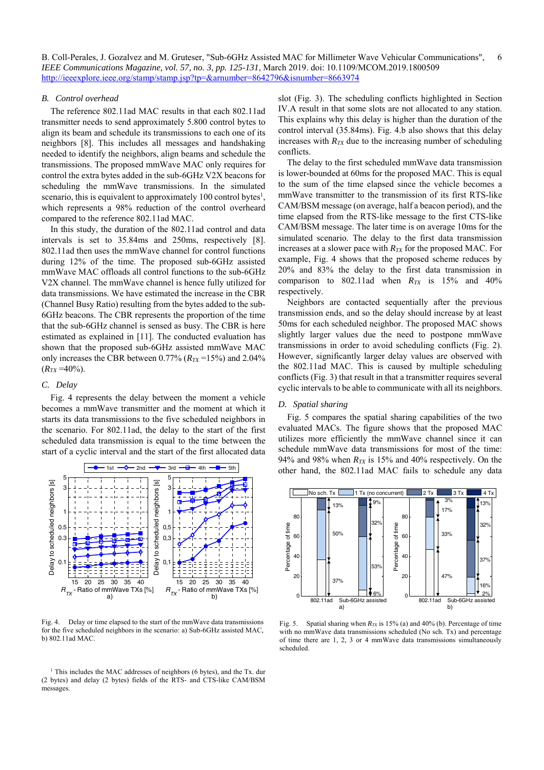#### *B. Control overhead*

The reference 802.11ad MAC results in that each 802.11ad transmitter needs to send approximately 5.800 control bytes to align its beam and schedule its transmissions to each one of its neighbors [8]. This includes all messages and handshaking needed to identify the neighbors, align beams and schedule the transmissions. The proposed mmWave MAC only requires for control the extra bytes added in the sub-6GHz V2X beacons for scheduling the mmWave transmissions. In the simulated scenario, this is equivalent to approximately 100 control bytes<sup>1</sup>, which represents a 98% reduction of the control overheard compared to the reference 802.11ad MAC.

In this study, the duration of the 802.11ad control and data intervals is set to 35.84ms and 250ms, respectively [8]. 802.11ad then uses the mmWave channel for control functions during 12% of the time. The proposed sub-6GHz assisted mmWave MAC offloads all control functions to the sub-6GHz V2X channel. The mmWave channel is hence fully utilized for data transmissions. We have estimated the increase in the CBR (Channel Busy Ratio) resulting from the bytes added to the sub-6GHz beacons. The CBR represents the proportion of the time that the sub-6GHz channel is sensed as busy. The CBR is here estimated as explained in [11]. The conducted evaluation has shown that the proposed sub-6GHz assisted mmWave MAC only increases the CBR between  $0.77\%$  ( $R_{TX}$ =15%) and 2.04%  $(R_{TX} = 40\%)$ .

#### *C. Delay*

Fig. 4 represents the delay between the moment a vehicle becomes a mmWave transmitter and the moment at which it starts its data transmissions to the five scheduled neighbors in the scenario. For 802.11ad, the delay to the start of the first scheduled data transmission is equal to the time between the start of a cyclic interval and the start of the first allocated data



Fig. 4. Delay or time elapsed to the start of the mmWave data transmissions for the five scheduled neighbors in the scenario: a) Sub-6GHz assisted MAC, b) 802.11ad MAC.

<sup>1</sup> This includes the MAC addresses of neighbors (6 bytes), and the Tx. dur (2 bytes) and delay (2 bytes) fields of the RTS- and CTS-like CAM/BSM messages.

slot (Fig. 3). The scheduling conflicts highlighted in Section IV.A result in that some slots are not allocated to any station. This explains why this delay is higher than the duration of the control interval (35.84ms). Fig. 4.b also shows that this delay increases with  $R_{TX}$  due to the increasing number of scheduling conflicts.

The delay to the first scheduled mmWave data transmission is lower-bounded at 60ms for the proposed MAC. This is equal to the sum of the time elapsed since the vehicle becomes a mmWave transmitter to the transmission of its first RTS-like CAM/BSM message (on average, half a beacon period), and the time elapsed from the RTS-like message to the first CTS-like CAM/BSM message. The later time is on average 10ms for the simulated scenario. The delay to the first data transmission increases at a slower pace with  $R_{TX}$  for the proposed MAC. For example, Fig. 4 shows that the proposed scheme reduces by 20% and 83% the delay to the first data transmission in comparison to 802.11ad when  $R_{TX}$  is 15% and 40% respectively.

Neighbors are contacted sequentially after the previous transmission ends, and so the delay should increase by at least 50ms for each scheduled neighbor. The proposed MAC shows slightly larger values due the need to postpone mmWave transmissions in order to avoid scheduling conflicts (Fig. 2). However, significantly larger delay values are observed with the 802.11ad MAC. This is caused by multiple scheduling conflicts (Fig. 3) that result in that a transmitter requires several cyclic intervals to be able to communicate with all its neighbors.

#### *D. Spatial sharing*

Fig. 5 compares the spatial sharing capabilities of the two evaluated MACs. The figure shows that the proposed MAC utilizes more efficiently the mmWave channel since it can schedule mmWave data transmissions for most of the time: 94% and 98% when  $R_{TX}$  is 15% and 40% respectively. On the other hand, the 802.11ad MAC fails to schedule any data



Fig. 5. Spatial sharing when *RTX* is 15% (a) and 40% (b). Percentage of time with no mmWave data transmissions scheduled (No sch. Tx) and percentage of time there are 1, 2, 3 or 4 mmWave data transmissions simultaneously scheduled.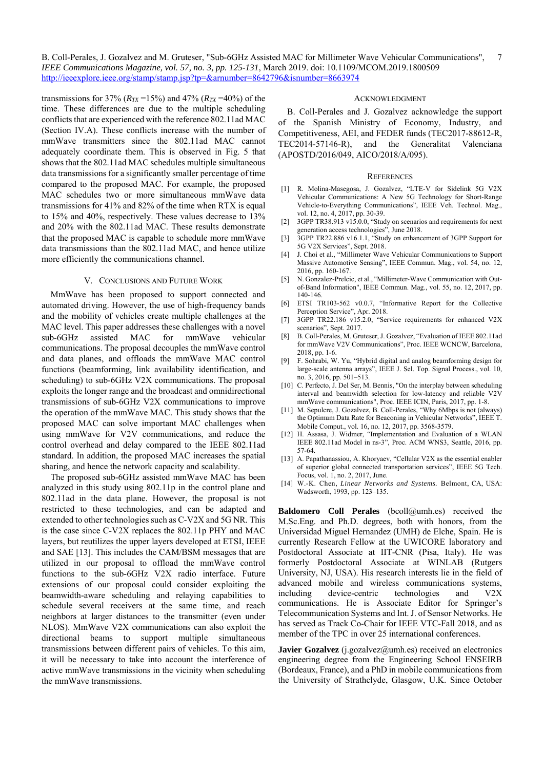transmissions for 37% ( $R_{TX}$ =15%) and 47% ( $R_{TX}$ =40%) of the time. These differences are due to the multiple scheduling conflicts that are experienced with the reference 802.11ad MAC (Section IV.A). These conflicts increase with the number of mmWave transmitters since the 802.11ad MAC cannot adequately coordinate them. This is observed in Fig. 5 that shows that the 802.11ad MAC schedules multiple simultaneous data transmissions for a significantly smaller percentage of time compared to the proposed MAC. For example, the proposed MAC schedules two or more simultaneous mmWave data transmissions for 41% and 82% of the time when RTX is equal to 15% and 40%, respectively. These values decrease to 13% and 20% with the 802.11ad MAC. These results demonstrate that the proposed MAC is capable to schedule more mmWave data transmissions than the 802.11ad MAC, and hence utilize more efficiently the communications channel.

# V. CONCLUSIONS AND FUTURE WORK

MmWave has been proposed to support connected and automated driving. However, the use of high-frequency bands and the mobility of vehicles create multiple challenges at the MAC level. This paper addresses these challenges with a novel sub-6GHz assisted MAC for mmWave vehicular communications. The proposal decouples the mmWave control and data planes, and offloads the mmWave MAC control functions (beamforming, link availability identification, and scheduling) to sub-6GHz V2X communications. The proposal exploits the longer range and the broadcast and omnidirectional transmissions of sub-6GHz V2X communications to improve the operation of the mmWave MAC. This study shows that the proposed MAC can solve important MAC challenges when using mmWave for V2V communications, and reduce the control overhead and delay compared to the IEEE 802.11ad standard. In addition, the proposed MAC increases the spatial sharing, and hence the network capacity and scalability.

The proposed sub-6GHz assisted mmWave MAC has been analyzed in this study using 802.11p in the control plane and 802.11ad in the data plane. However, the proposal is not restricted to these technologies, and can be adapted and extended to other technologies such as C-V2X and 5G NR. This is the case since C-V2X replaces the 802.11p PHY and MAC layers, but reutilizes the upper layers developed at ETSI, IEEE and SAE [13]. This includes the CAM/BSM messages that are utilized in our proposal to offload the mmWave control functions to the sub-6GHz V2X radio interface. Future extensions of our proposal could consider exploiting the beamwidth-aware scheduling and relaying capabilities to schedule several receivers at the same time, and reach neighbors at larger distances to the transmitter (even under NLOS). MmWave V2X communications can also exploit the directional beams to support multiple simultaneous transmissions between different pairs of vehicles. To this aim, it will be necessary to take into account the interference of active mmWave transmissions in the vicinity when scheduling the mmWave transmissions.

#### ACKNOWLEDGMENT

B. Coll-Perales and J. Gozalvez acknowledge the support of the Spanish Ministry of Economy, Industry, and Competitiveness, AEI, and FEDER funds (TEC2017-88612-R, TEC2014-57146-R), and the Generalitat Valenciana (APOSTD/2016/049, AICO/2018/A/095).

#### **REFERENCES**

- [1] R. Molina-Masegosa, J. Gozalvez, "LTE-V for Sidelink 5G V2X Vehicular Communications: A New 5G Technology for Short-Range Vehicle-to-Everything Communications", IEEE Veh. Technol. Mag., vol. 12, no. 4, 2017, pp. 30-39.
- [2] 3GPP TR38.913 v15.0.0, "Study on scenarios and requirements for next generation access technologies", June 2018.
- [3] 3GPP TR22.886 v16.1.1, "Study on enhancement of 3GPP Support for 5G V2X Services", Sept. 2018.
- [4] J. Choi et al., "Millimeter Wave Vehicular Communications to Support Massive Automotive Sensing", IEEE Commun. Mag., vol. 54, no. 12, 2016, pp. 160-167.
- [5] N. Gonzalez-Prelcic, et al., "Millimeter-Wave Communication with Outof-Band Information", IEEE Commun. Mag., vol. 55, no. 12, 2017, pp. 140-146.
- [6] ETSI TR103-562 v0.0.7, "Informative Report for the Collective Perception Service", Apr. 2018.
- [7] 3GPP TR22.186 v15.2.0, "Service requirements for enhanced V2X scenarios", Sept. 2017.
- [8] B. Coll-Perales, M. Gruteser, J. Gozalvez, "Evaluation of IEEE 802.11ad for mmWave V2V Communications", Proc. IEEE WCNCW, Barcelona, 2018, pp. 1-6.
- [9] F. Sohrabi, W. Yu, "Hybrid digital and analog beamforming design for large-scale antenna arrays", IEEE J. Sel. Top. Signal Process., vol. 10, no. 3, 2016, pp. 501–513.
- [10] C. Perfecto, J. Del Ser, M. Bennis, "On the interplay between scheduling interval and beamwidth selection for low-latency and reliable V2V mmWave communications", Proc. IEEE ICIN, Paris, 2017, pp. 1-8.
- [11] M. Sepulcre, J. Gozalvez, B. Coll-Perales, "Why 6Mbps is not (always) the Optimum Data Rate for Beaconing in Vehicular Networks", IEEE T. Mobile Comput., vol. 16, no. 12, 2017, pp. 3568-3579.
- [12] H. Assasa, J. Widmer, "Implementation and Evaluation of a WLAN IEEE 802.11ad Model in ns-3", Proc. ACM WNS3, Seattle, 2016, pp. 57-64.
- [13] A. Papathanassiou, A. Khoryaev, "Cellular V2X as the essential enabler of superior global connected transportation services", IEEE 5G Tech. Focus, vol. 1, no. 2, 2017, June.
- [14] W.-K. Chen, *Linear Networks and Systems.* Belmont, CA, USA: Wadsworth, 1993, pp. 123–135.

**Baldomero Coll Perales** (bcoll@umh.es) received the M.Sc.Eng. and Ph.D. degrees, both with honors, from the Universidad Miguel Hernandez (UMH) de Elche, Spain. He is currently Research Fellow at the UWICORE laboratory and Postdoctoral Associate at IIT-CNR (Pisa, Italy). He was formerly Postdoctoral Associate at WINLAB (Rutgers University, NJ, USA). His research interests lie in the field of advanced mobile and wireless communications systems, including device-centric technologies and V2X communications. He is Associate Editor for Springer's Telecommunication Systems and Int. J. of Sensor Networks. He has served as Track Co-Chair for IEEE VTC-Fall 2018, and as member of the TPC in over 25 international conferences.

**Javier Gozalvez** (j.gozalvez@umh.es) received an electronics engineering degree from the Engineering School ENSEIRB (Bordeaux, France), and a PhD in mobile communications from the University of Strathclyde, Glasgow, U.K. Since October